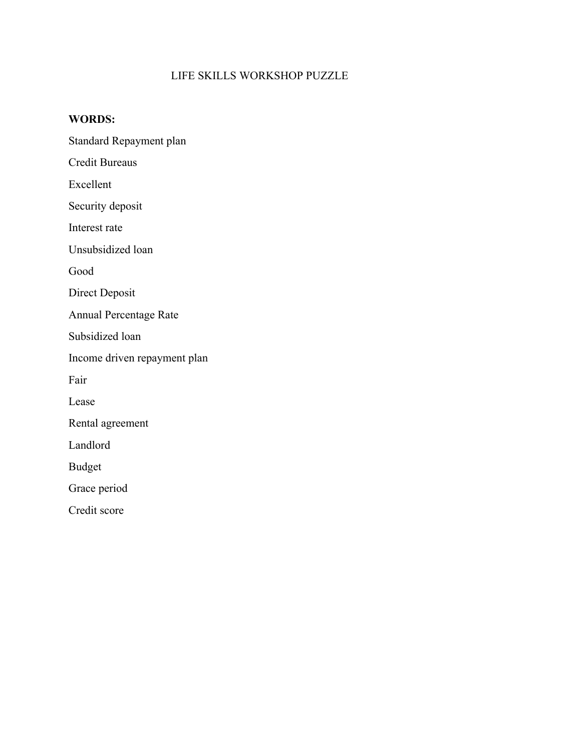## LIFE SKILLS WORKSHOP PUZZLE

## **WORDS:**

Standard Repayment plan

Credit Bureaus

Excellent

Security deposit

Interest rate

Unsubsidized loan

Good

Direct Deposit

Annual Percentage Rate

Subsidized loan

Income driven repayment plan

Fair

Lease

Rental agreement

Landlord

Budget

Grace period

Credit score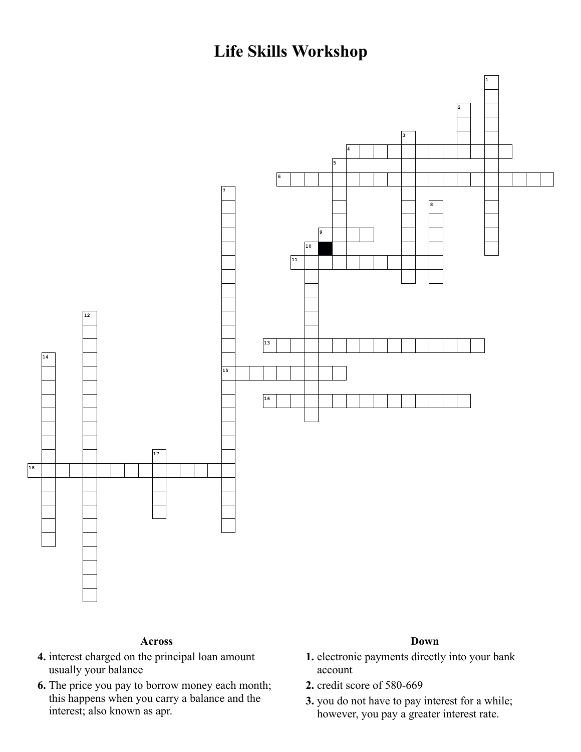**Life Skills Workshop**



## **Across**

- **4.** interest charged on the principal loan amount usually your balance
- **6.** The price you pay to borrow money each month; this happens when you carry a balance and the interest; also known as apr.

## **Down**

- **1.** electronic payments directly into your bank account
- **2.** credit score of 580-669
- **3.** you do not have to pay interest for a while; however, you pay a greater interest rate.